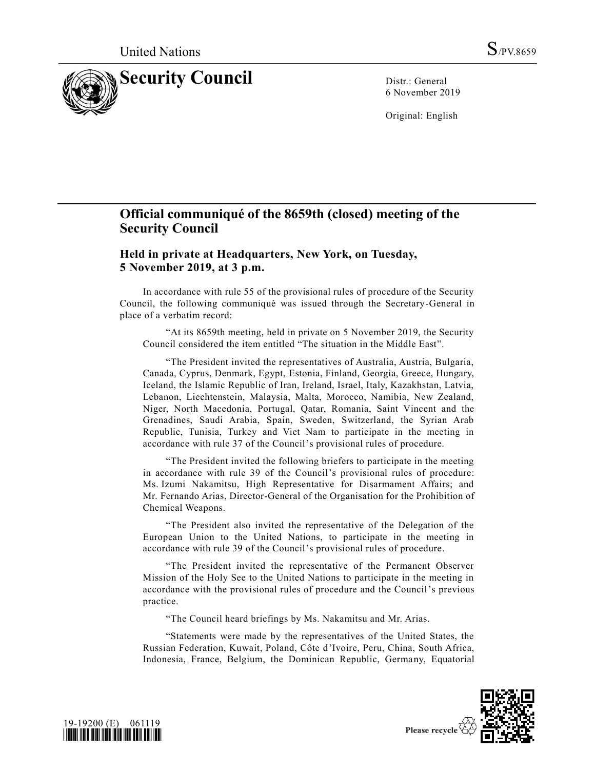

6 November 2019

Original: English

## **Official communiqué of the 8659th (closed) meeting of the Security Council**

**Held in private at Headquarters, New York, on Tuesday, 5 November 2019, at 3 p.m.**

In accordance with rule 55 of the provisional rules of procedure of the Security Council, the following communiqué was issued through the Secretary-General in place of a verbatim record:

"At its 8659th meeting, held in private on 5 November 2019, the Security Council considered the item entitled "The situation in the Middle East".

"The President invited the representatives of Australia, Austria, Bulgaria, Canada, Cyprus, Denmark, Egypt, Estonia, Finland, Georgia, Greece, Hungary, Iceland, the Islamic Republic of Iran, Ireland, Israel, Italy, Kazakhstan, Latvia, Lebanon, Liechtenstein, Malaysia, Malta, Morocco, Namibia, New Zealand, Niger, North Macedonia, Portugal, Qatar, Romania, Saint Vincent and the Grenadines, Saudi Arabia, Spain, Sweden, Switzerland, the Syrian Arab Republic, Tunisia, Turkey and Viet Nam to participate in the meeting in accordance with rule 37 of the Council's provisional rules of procedure.

"The President invited the following briefers to participate in the meeting in accordance with rule 39 of the Council's provisional rules of procedure: Ms. Izumi Nakamitsu, High Representative for Disarmament Affairs; and Mr. Fernando Arias, Director-General of the Organisation for the Prohibition of Chemical Weapons.

"The President also invited the representative of the Delegation of the European Union to the United Nations, to participate in the meeting in accordance with rule 39 of the Council's provisional rules of procedure.

"The President invited the representative of the Permanent Observer Mission of the Holy See to the United Nations to participate in the meeting in accordance with the provisional rules of procedure and the Council's previous practice.

"The Council heard briefings by Ms. Nakamitsu and Mr. Arias.

"Statements were made by the representatives of the United States, the Russian Federation, Kuwait, Poland, Côte d'Ivoire, Peru, China, South Africa, Indonesia, France, Belgium, the Dominican Republic, Germany, Equatorial